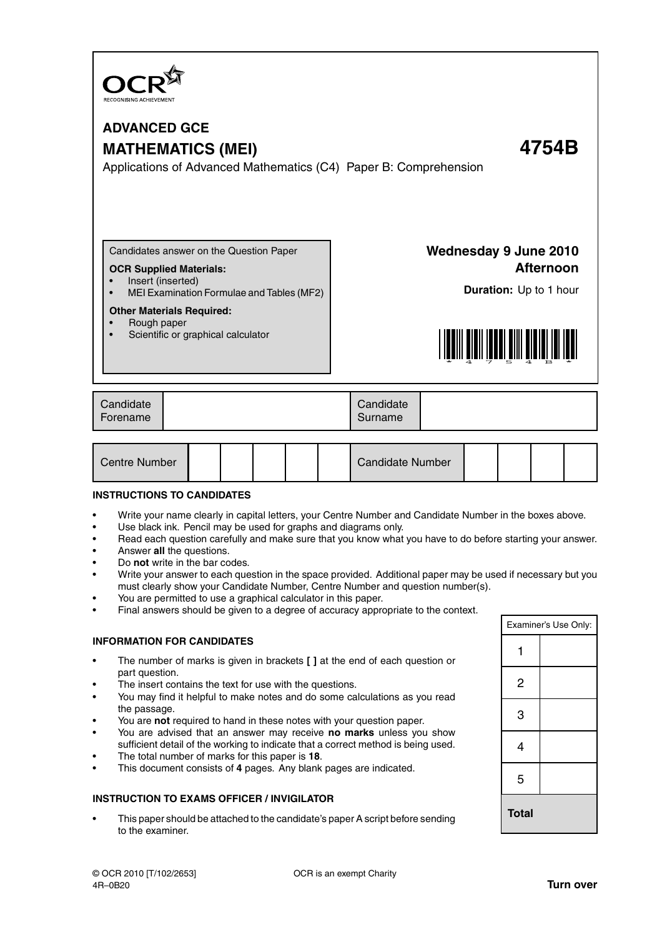

## **ADVANCED GCE MATHEMATICS (MEI) 4754B**

Applications of Advanced Mathematics (C4) Paper B: Comprehension

Candidates answer on the Question Paper

### **OCR Supplied Materials:**

- Insert (inserted)
- MEI Examination Formulae and Tables (MF2)

### **Other Materials Required:**

- Rough paper
- Scientific or graphical calculator

**Wednesday 9 June 2010 Afternoon**

**Duration:** Up to 1 hour



| Candidate<br>Candidate<br>Forename<br>Surname |
|-----------------------------------------------|
|-----------------------------------------------|

| Centre Number |  |  |  |  |  | <b>Candidate Number</b> |  |  |  |  |
|---------------|--|--|--|--|--|-------------------------|--|--|--|--|
|---------------|--|--|--|--|--|-------------------------|--|--|--|--|

### **INSTRUCTIONS TO CANDIDATES**

- Write your name clearly in capital letters, your Centre Number and Candidate Number in the boxes above.
- Use black ink. Pencil may be used for graphs and diagrams only.
- Read each question carefully and make sure that you know what you have to do before starting your answer.
- Answer **all** the questions.
- Do **not** write in the bar codes.
- Write your answer to each question in the space provided. Additional paper may be used if necessary but you must clearly show your Candidate Number, Centre Number and question number(s).
- You are permitted to use a graphical calculator in this paper.
- Final answers should be given to a degree of accuracy appropriate to the context.

### **INFORMATION FOR CANDIDATES**

- The number of marks is given in brackets **[ ]** at the end of each question or part question.
- The insert contains the text for use with the questions.
- You may find it helpful to make notes and do some calculations as you read the passage.
- You are **not** required to hand in these notes with your question paper.
- You are advised that an answer may receive **no marks** unless you show sufficient detail of the working to indicate that a correct method is being used.
- The total number of marks for this paper is **18**.
- This document consists of **4** pages. Any blank pages are indicated.

### **INSTRUCTION TO EXAMS OFFICER / INVIGILATOR**

• This paper should be attached to the candidate's paper A script before sending to the examiner.

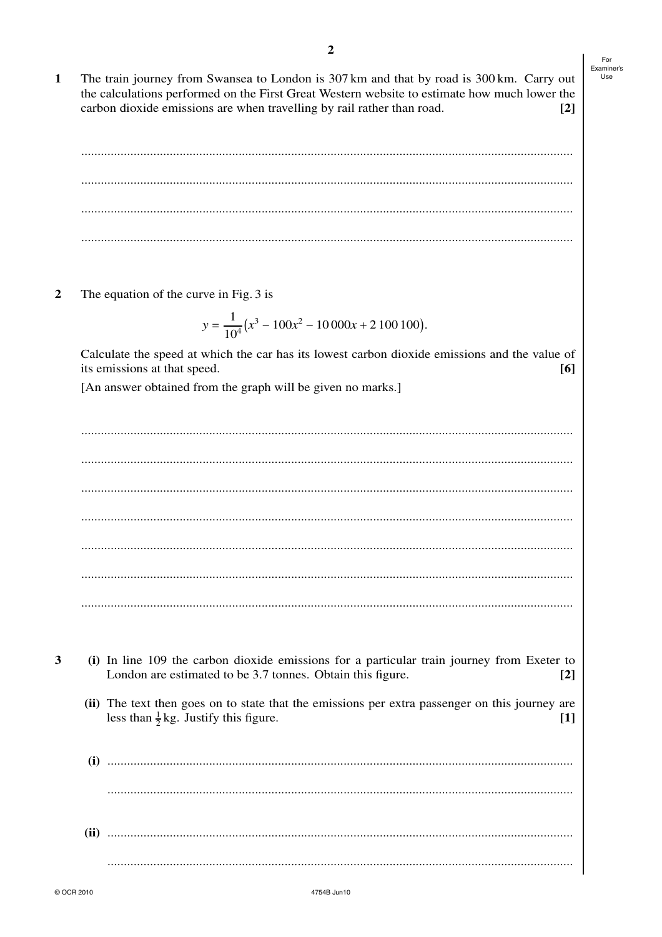$\mathbf{1}$ The train journey from Swansea to London is 307 km and that by road is 300 km. Carry out the calculations performed on the First Great Western website to estimate how much lower the carbon dioxide emissions are when travelling by rail rather than road.  $\lceil 2 \rceil$ 

 $\overline{2}$ The equation of the curve in Fig. 3 is

$$
y = \frac{1}{10^4} (x^3 - 100x^2 - 10000x + 2100100).
$$

Calculate the speed at which the car has its lowest carbon dioxide emissions and the value of its emissions at that speed. [6]

[An answer obtained from the graph will be given no marks.]

- 3
- (i) In line 109 the carbon dioxide emissions for a particular train journey from Exeter to London are estimated to be 3.7 tonnes. Obtain this figure.  $\lceil 2 \rceil$ 
	- (ii) The text then goes on to state that the emissions per extra passenger on this journey are less than  $\frac{1}{2}$ kg. Justify this figure.  $\lceil 1 \rceil$
	-

For Examiner's Use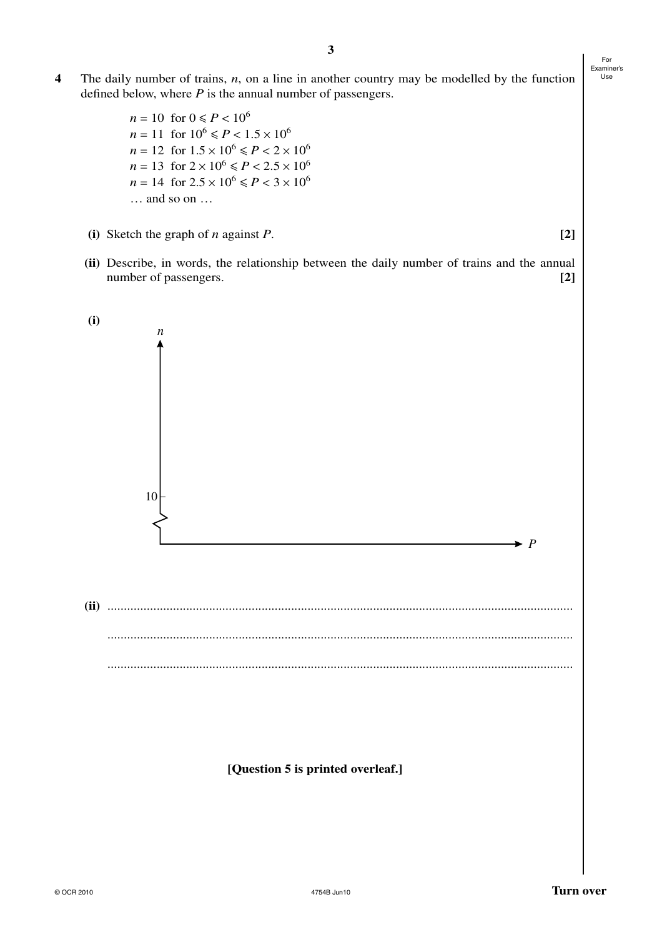- **4** The daily number of trains, *n*, on a line in another country may be modelled by the function defined below, where *P* is the annual number of passengers.
	- $n = 10$  for  $0 \le P < 10^6$  $n = 11$  for  $10^6 \le P < 1.5 \times 10^6$  $n = 12$  for  $1.5 \times 10^6 \le P < 2 \times 10^6$  $n = 13$  for  $2 \times 10^6 \le P < 2.5 \times 10^6$  $n = 14$  for  $2.5 \times 10^6 \le P < 3 \times 10^6$ … and so on …
	- **(i)** Sketch the graph of *n* against *P*. **[2]**
	- **(ii)** Describe, in words, the relationship between the daily number of trains and the annual number of passengers. **[2]**



**[Question 5 is printed overleaf.]**

For Examiner's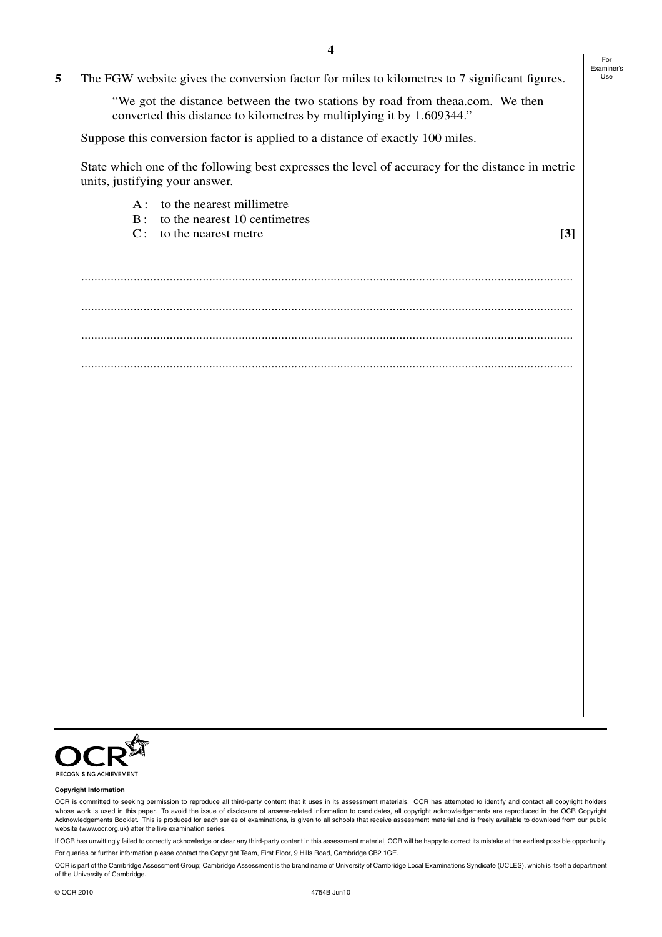- A : to the nearest millimetre
- B : to the nearest 10 centimetres
- C: to the nearest metre **[3]**

For Examiner's

...................................................................................................................................................... ...................................................................................................................................................... ...................................................................................................................................................... ......................................................................................................................................................



#### **Copyright Information**

OCR is committed to seeking permission to reproduce all third-party content that it uses in its assessment materials. OCR has attempted to identify and contact all copyright holders whose work is used in this paper. To avoid the issue of disclosure of answer-related information to candidates, all copyright acknowledgements are reproduced in the OCR Copyright Acknowledgements Booklet. This is produced for each series of examinations, is given to all schools that receive assessment material and is freely available to download from our public website (www.ocr.org.uk) after the live examination series.

If OCR has unwittingly failed to correctly acknowledge or clear any third-party content in this assessment material, OCR will be happy to correct its mistake at the earliest possible opportunity. For queries or further information please contact the Copyright Team, First Floor, 9 Hills Road, Cambridge CB2 1GE.

OCR is part of the Cambridge Assessment Group; Cambridge Assessment is the brand name of University of Cambridge Local Examinations Syndicate (UCLES), which is itself a department of the University of Cambridge.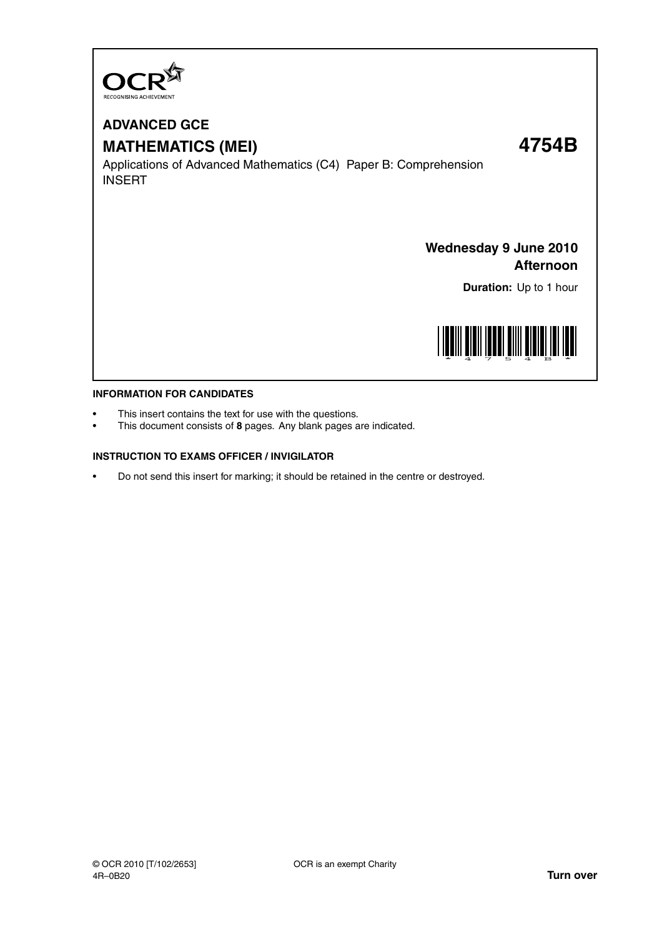

# **ADVANCED GCE MATHEMATICS (MEI) 4754B**

Applications of Advanced Mathematics (C4) Paper B: Comprehension INSERT

### **Wednesday 9 June 2010 Afternoon**

**Duration:** Up to 1 hour



### **INFORMATION FOR CANDIDATES**

- This insert contains the text for use with the questions.
- This document consists of **8** pages. Any blank pages are indicated.

### **INSTRUCTION TO EXAMS OFFICER / INVIGILATOR**

• Do not send this insert for marking; it should be retained in the centre or destroyed.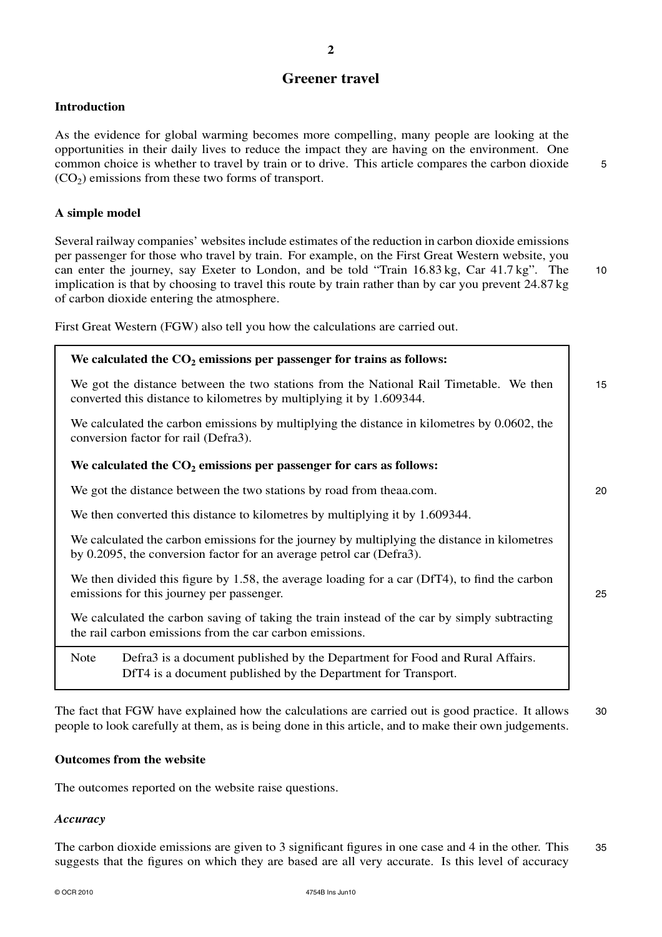### **Greener travel**

### **Introduction**

As the evidence for global warming becomes more compelling, many people are looking at the opportunities in their daily lives to reduce the impact they are having on the environment. One common choice is whether to travel by train or to drive. This article compares the carbon dioxide  $5$  $(CO<sub>2</sub>)$  emissions from these two forms of transport.

### **A simple model**

Several railway companies' websites include estimates of the reduction in carbon dioxide emissions per passenger for those who travel by train. For example, on the First Great Western website, you can enter the journey, say Exeter to London, and be told "Train 16.83 kg, Car 41.7 kg". The 10 implication is that by choosing to travel this route by train rather than by car you prevent 24.87 kg of carbon dioxide entering the atmosphere.

First Great Western (FGW) also tell you how the calculations are carried out.

# **We calculated the CO<sup>2</sup> emissions per passenger for trains as follows:** We got the distance between the two stations from the National Rail Timetable. We then 15 converted this distance to kilometres by multiplying it by 1.609344. We calculated the carbon emissions by multiplying the distance in kilometres by 0.0602, the conversion factor for rail (Defra3). **We calculated the CO<sup>2</sup> emissions per passenger for cars as follows:** We got the distance between the two stations by road from theaa.com. 20 We then converted this distance to kilometres by multiplying it by 1.609344. We calculated the carbon emissions for the journey by multiplying the distance in kilometres by 0.2095, the conversion factor for an average petrol car (Defra3). We then divided this figure by 1.58, the average loading for a car (DfT4), to find the carbon emissions for this journey per passenger. 25

We calculated the carbon saving of taking the train instead of the car by simply subtracting the rail carbon emissions from the car carbon emissions.

Note Defra3 is a document published by the Department for Food and Rural Affairs. DfT4 is a document published by the Department for Transport.

The fact that FGW have explained how the calculations are carried out is good practice. It allows 30 people to look carefully at them, as is being done in this article, and to make their own judgements.

### **Outcomes from the website**

The outcomes reported on the website raise questions.

### *Accuracy*

The carbon dioxide emissions are given to 3 significant figures in one case and 4 in the other. This 35 suggests that the figures on which they are based are all very accurate. Is this level of accuracy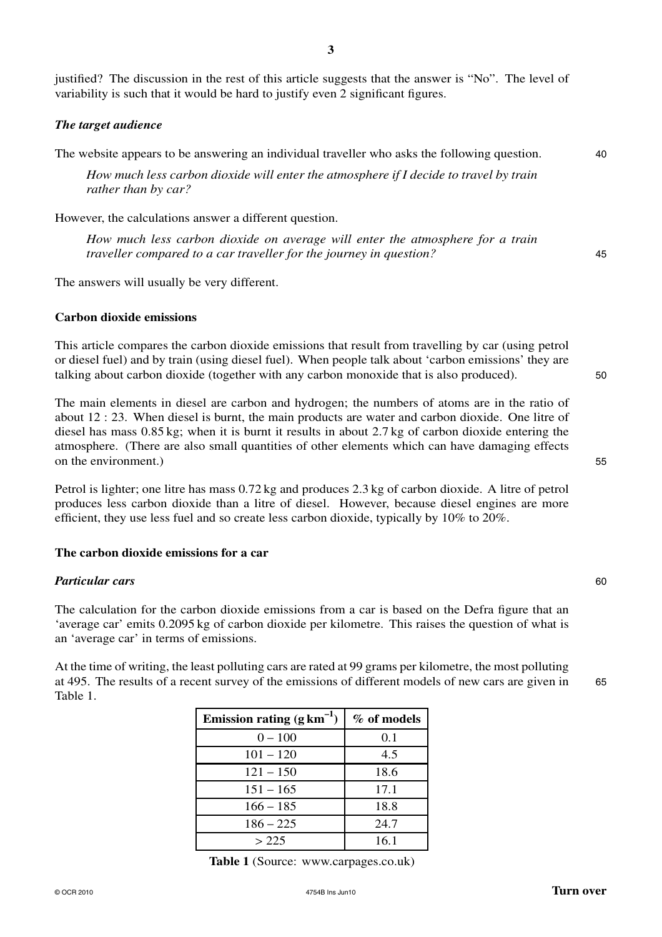justified? The discussion in the rest of this article suggests that the answer is "No". The level of variability is such that it would be hard to justify even 2 significant figures.

### *The target audience*

The website appears to be answering an individual traveller who asks the following question. 40

*How much less carbon dioxide will enter the atmosphere if I decide to travel by train rather than by car?*

However, the calculations answer a different question.

*How much less carbon dioxide on average will enter the atmosphere for a train traveller compared to a car traveller for the journey in question?* 45

The answers will usually be very different.

### **Carbon dioxide emissions**

This article compares the carbon dioxide emissions that result from travelling by car (using petrol or diesel fuel) and by train (using diesel fuel). When people talk about 'carbon emissions' they are talking about carbon dioxide (together with any carbon monoxide that is also produced). 50

The main elements in diesel are carbon and hydrogen; the numbers of atoms are in the ratio of about 12 : 23. When diesel is burnt, the main products are water and carbon dioxide. One litre of diesel has mass 0.85 kg; when it is burnt it results in about 2.7 kg of carbon dioxide entering the atmosphere. (There are also small quantities of other elements which can have damaging effects on the environment.) 55

Petrol is lighter; one litre has mass 0.72 kg and produces 2.3 kg of carbon dioxide. A litre of petrol produces less carbon dioxide than a litre of diesel. However, because diesel engines are more efficient, they use less fuel and so create less carbon dioxide, typically by 10% to 20%.

#### **The carbon dioxide emissions for a car**

### *Particular cars* 60

The calculation for the carbon dioxide emissions from a car is based on the Defra figure that an 'average car' emits 0.2095 kg of carbon dioxide per kilometre. This raises the question of what is an 'average car' in terms of emissions.

At the time of writing, the least polluting cars are rated at 99 grams per kilometre, the most polluting at 495. The results of a recent survey of the emissions of different models of new cars are given in 65 Table 1.

| Emission rating $(g \, km^{-1})$ | % of models |
|----------------------------------|-------------|
| $0 - 100$                        | 0.1         |
| $101 - 120$                      | 4.5         |
| $121 - 150$                      | 18.6        |
| $151 - 165$                      | 17.1        |
| $166 - 185$                      | 18.8        |
| $186 - 225$                      | 24.7        |
| > 225                            | 16.1        |

**Table 1** (Source: www.carpages.co.uk)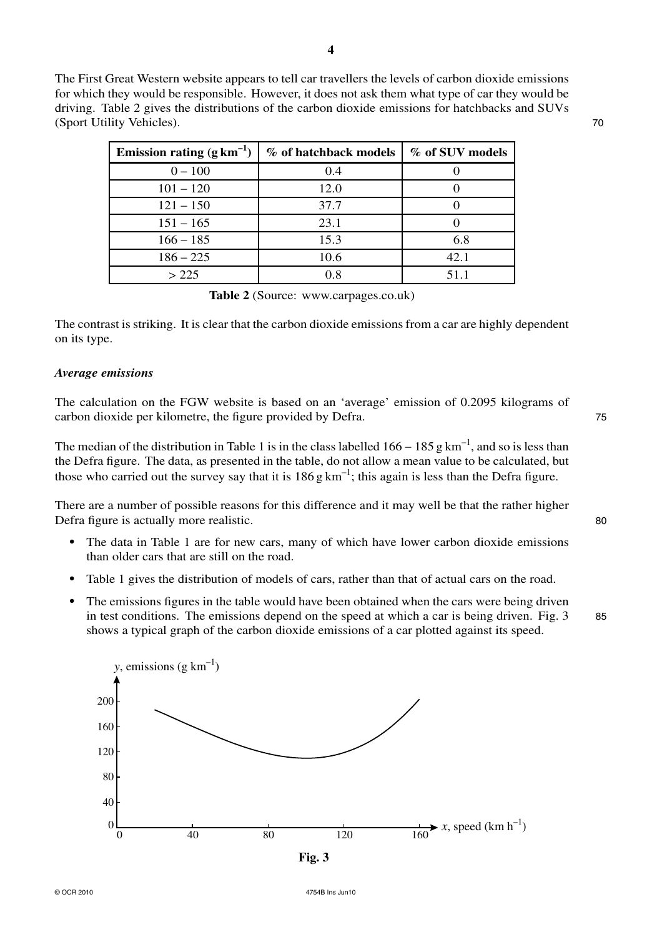The First Great Western website appears to tell car travellers the levels of carbon dioxide emissions for which they would be responsible. However, it does not ask them what type of car they would be driving. Table 2 gives the distributions of the carbon dioxide emissions for hatchbacks and SUVs (Sport Utility Vehicles). 70

| Emission rating $(g \text{ km}^{-1})$ | % of hatchback models | % of SUV models |
|---------------------------------------|-----------------------|-----------------|
| $0 - 100$                             | 0.4                   |                 |
| $101 - 120$                           | 12.0                  |                 |
| $121 - 150$                           | 37.7                  |                 |
| $151 - 165$                           | 23.1                  |                 |
| $166 - 185$                           | 15.3                  | 6.8             |
| $186 - 225$                           | 10.6                  | 42.1            |
| >225                                  | 0.8                   | 51 1            |

**Table 2** (Source: www.carpages.co.uk)

The contrast is striking. It is clear that the carbon dioxide emissions from a car are highly dependent on its type.

### *Average emissions*

The calculation on the FGW website is based on an 'average' emission of 0.2095 kilograms of carbon dioxide per kilometre, the figure provided by Defra. 75

The median of the distribution in Table 1 is in the class labelled  $166 - 185$  g km<sup>-1</sup>, and so is less than the Defra figure. The data, as presented in the table, do not allow a mean value to be calculated, but those who carried out the survey say that it is  $186 g \text{ km}^{-1}$ ; this again is less than the Defra figure.

There are a number of possible reasons for this difference and it may well be that the rather higher Defra figure is actually more realistic. 80

- The data in Table 1 are for new cars, many of which have lower carbon dioxide emissions than older cars that are still on the road.
- Table 1 gives the distribution of models of cars, rather than that of actual cars on the road.
- **•** The emissions figures in the table would have been obtained when the cars were being driven in test conditions. The emissions depend on the speed at which a car is being driven. Fig.  $3\qquad 85$ shows a typical graph of the carbon dioxide emissions of a car plotted against its speed.

0 40 80 120 160 200 160 120 80 40  $\overline{0}$  $\overrightarrow{160}$  *x*, speed (km h<sup>-1</sup>) *y*, emissions (g  $km^{-1}$ )

**Fig. 3**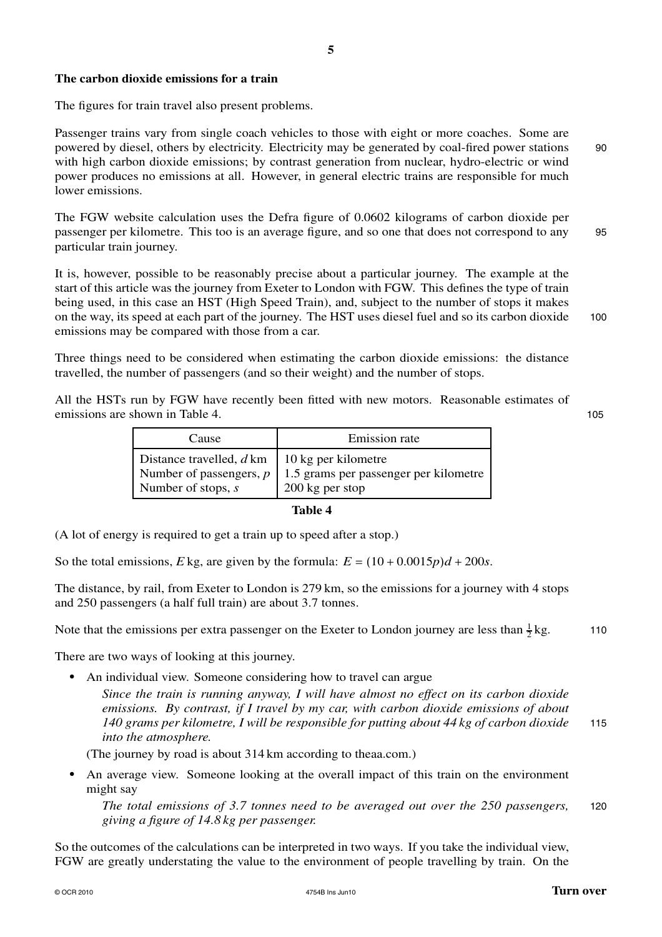### **The carbon dioxide emissions for a train**

The figures for train travel also present problems.

Passenger trains vary from single coach vehicles to those with eight or more coaches. Some are powered by diesel, others by electricity. Electricity may be generated by coal-fired power stations 90 with high carbon dioxide emissions; by contrast generation from nuclear, hydro-electric or wind power produces no emissions at all. However, in general electric trains are responsible for much lower emissions.

The FGW website calculation uses the Defra figure of 0.0602 kilograms of carbon dioxide per passenger per kilometre. This too is an average figure, and so one that does not correspond to any 95 particular train journey.

It is, however, possible to be reasonably precise about a particular journey. The example at the start of this article was the journey from Exeter to London with FGW. This defines the type of train being used, in this case an HST (High Speed Train), and, subject to the number of stops it makes on the way, its speed at each part of the journey. The HST uses diesel fuel and so its carbon dioxide 100 emissions may be compared with those from a car.

Three things need to be considered when estimating the carbon dioxide emissions: the distance travelled, the number of passengers (and so their weight) and the number of stops.

All the HSTs run by FGW have recently been fitted with new motors. Reasonable estimates of emissions are shown in Table 4. 105

| Cause                     | Emission rate                         |
|---------------------------|---------------------------------------|
| Distance travelled, d km  | 10 kg per kilometre                   |
| Number of passengers, $p$ | 1.5 grams per passenger per kilometre |
| Number of stops, $s$      | 200 kg per stop                       |

### **Table 4**

(A lot of energy is required to get a train up to speed after a stop.)

So the total emissions, *E* kg, are given by the formula:  $E = (10 + 0.0015p)d + 200s$ .

The distance, by rail, from Exeter to London is 279 km, so the emissions for a journey with 4 stops and 250 passengers (a half full train) are about 3.7 tonnes.

Note that the emissions per extra passenger on the Exeter to London journey are less than  $\frac{1}{2}$ kg. 110

There are two ways of looking at this journey.

**•** An individual view. Someone considering how to travel can argue

*Since the train is running anyway, I will have almost no effect on its carbon dioxide emissions. By contrast, if I travel by my car, with carbon dioxide emissions of about 140 grams per kilometre, I will be responsible for putting about 44 kg of carbon dioxide* 115 *into the atmosphere.*

(The journey by road is about 314 km according to theaa.com.)

**•** An average view. Someone looking at the overall impact of this train on the environment might say

*The total emissions of 3.7 tonnes need to be averaged out over the 250 passengers,* 120 *giving a figure of 14.8 kg per passenger.*

So the outcomes of the calculations can be interpreted in two ways. If you take the individual view, FGW are greatly understating the value to the environment of people travelling by train. On the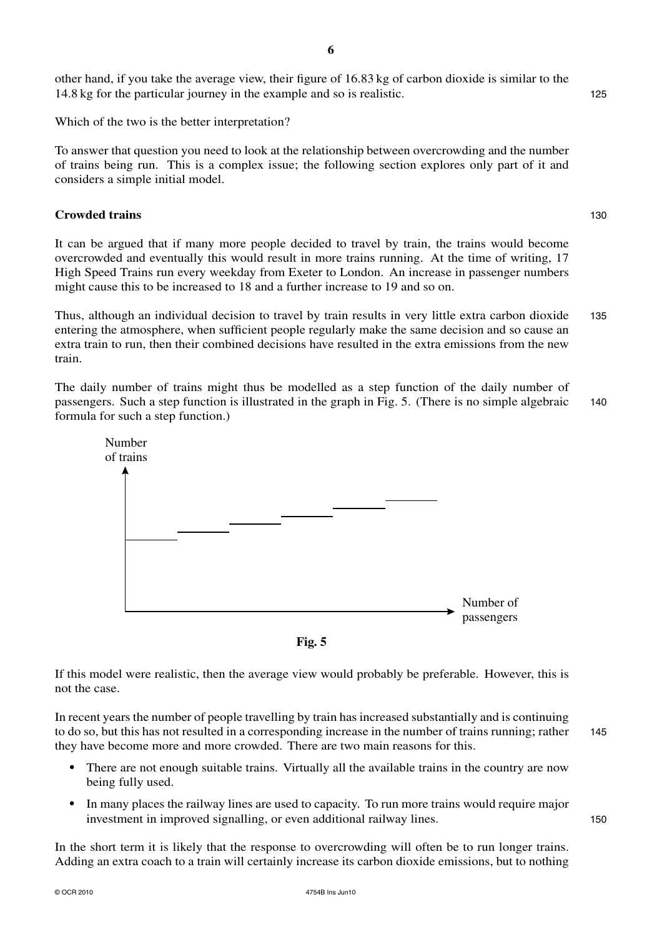other hand, if you take the average view, their figure of 16.83 kg of carbon dioxide is similar to the 14.8 kg for the particular journey in the example and so is realistic. 125

Which of the two is the better interpretation?

To answer that question you need to look at the relationship between overcrowding and the number of trains being run. This is a complex issue; the following section explores only part of it and considers a simple initial model.

### **Crowded trains** 130

It can be argued that if many more people decided to travel by train, the trains would become overcrowded and eventually this would result in more trains running. At the time of writing, 17 High Speed Trains run every weekday from Exeter to London. An increase in passenger numbers might cause this to be increased to 18 and a further increase to 19 and so on.

Thus, although an individual decision to travel by train results in very little extra carbon dioxide 135 entering the atmosphere, when sufficient people regularly make the same decision and so cause an extra train to run, then their combined decisions have resulted in the extra emissions from the new train.

The daily number of trains might thus be modelled as a step function of the daily number of passengers. Such a step function is illustrated in the graph in Fig. 5. (There is no simple algebraic 140 formula for such a step function.)





If this model were realistic, then the average view would probably be preferable. However, this is not the case.

In recent years the number of people travelling by train has increased substantially and is continuing to do so, but this has not resulted in a corresponding increase in the number of trains running; rather 145 they have become more and more crowded. There are two main reasons for this.

- **•** There are not enough suitable trains. Virtually all the available trains in the country are now being fully used.
- **•** In many places the railway lines are used to capacity. To run more trains would require major investment in improved signalling, or even additional railway lines. 150

In the short term it is likely that the response to overcrowding will often be to run longer trains. Adding an extra coach to a train will certainly increase its carbon dioxide emissions, but to nothing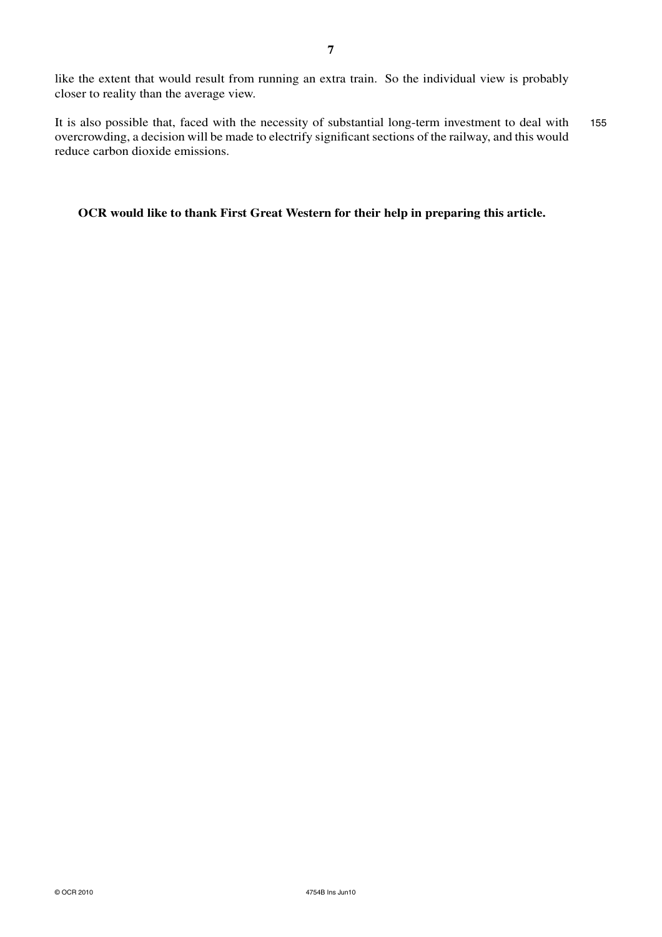like the extent that would result from running an extra train. So the individual view is probably closer to reality than the average view.

It is also possible that, faced with the necessity of substantial long-term investment to deal with 155 overcrowding, a decision will be made to electrify significant sections of the railway, and this would reduce carbon dioxide emissions.

**OCR would like to thank First Great Western for their help in preparing this article.**